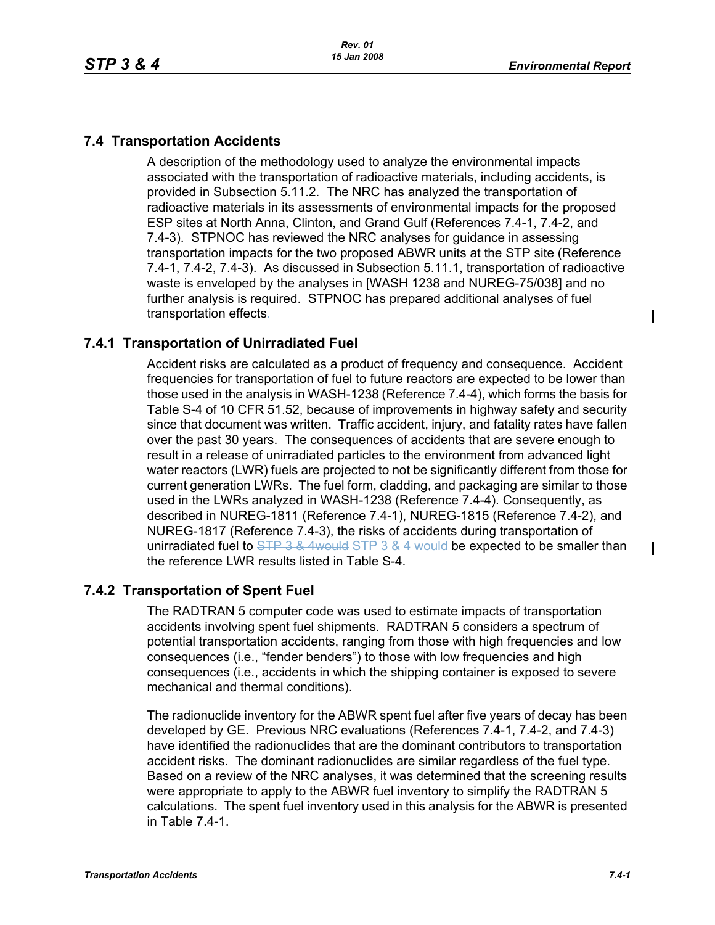$\mathbf I$ 

 $\mathbf I$ 

## **7.4 Transportation Accidents**

A description of the methodology used to analyze the environmental impacts associated with the transportation of radioactive materials, including accidents, is provided in Subsection 5.11.2. The NRC has analyzed the transportation of radioactive materials in its assessments of environmental impacts for the proposed ESP sites at North Anna, Clinton, and Grand Gulf (References 7.4-1, 7.4-2, and 7.4-3). STPNOC has reviewed the NRC analyses for guidance in assessing transportation impacts for the two proposed ABWR units at the STP site (Reference 7.4-1, 7.4-2, 7.4-3). As discussed in Subsection 5.11.1, transportation of radioactive waste is enveloped by the analyses in [WASH 1238 and NUREG-75/038] and no further analysis is required. STPNOC has prepared additional analyses of fuel transportation effects.

# **7.4.1 Transportation of Unirradiated Fuel**

Accident risks are calculated as a product of frequency and consequence. Accident frequencies for transportation of fuel to future reactors are expected to be lower than those used in the analysis in WASH-1238 (Reference 7.4-4), which forms the basis for Table S-4 of 10 CFR 51.52, because of improvements in highway safety and security since that document was written. Traffic accident, injury, and fatality rates have fallen over the past 30 years. The consequences of accidents that are severe enough to result in a release of unirradiated particles to the environment from advanced light water reactors (LWR) fuels are projected to not be significantly different from those for current generation LWRs. The fuel form, cladding, and packaging are similar to those used in the LWRs analyzed in WASH-1238 (Reference 7.4-4). Consequently, as described in NUREG-1811 (Reference 7.4-1), NUREG-1815 (Reference 7.4-2), and NUREG-1817 (Reference 7.4-3), the risks of accidents during transportation of unirradiated fuel to STP 3 & 4would STP 3 & 4 would be expected to be smaller than the reference LWR results listed in Table S-4.

### **7.4.2 Transportation of Spent Fuel**

The RADTRAN 5 computer code was used to estimate impacts of transportation accidents involving spent fuel shipments. RADTRAN 5 considers a spectrum of potential transportation accidents, ranging from those with high frequencies and low consequences (i.e., "fender benders") to those with low frequencies and high consequences (i.e., accidents in which the shipping container is exposed to severe mechanical and thermal conditions).

The radionuclide inventory for the ABWR spent fuel after five years of decay has been developed by GE. Previous NRC evaluations (References 7.4-1, 7.4-2, and 7.4-3) have identified the radionuclides that are the dominant contributors to transportation accident risks. The dominant radionuclides are similar regardless of the fuel type. Based on a review of the NRC analyses, it was determined that the screening results were appropriate to apply to the ABWR fuel inventory to simplify the RADTRAN 5 calculations. The spent fuel inventory used in this analysis for the ABWR is presented in Table 7.4-1.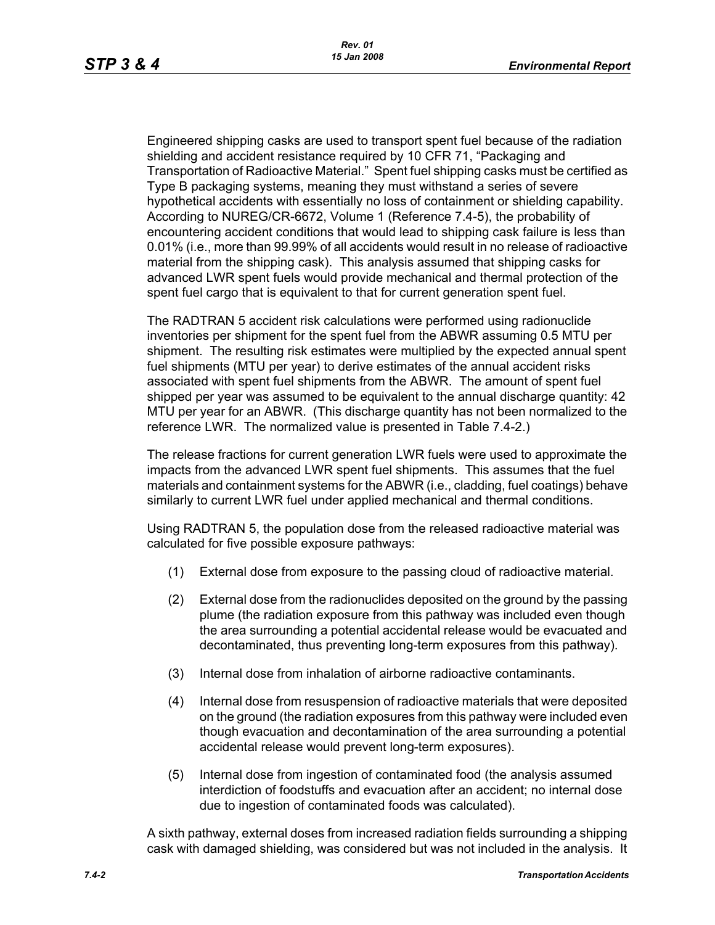Engineered shipping casks are used to transport spent fuel because of the radiation shielding and accident resistance required by 10 CFR 71, "Packaging and Transportation of Radioactive Material." Spent fuel shipping casks must be certified as Type B packaging systems, meaning they must withstand a series of severe hypothetical accidents with essentially no loss of containment or shielding capability. According to NUREG/CR-6672, Volume 1 (Reference 7.4-5), the probability of encountering accident conditions that would lead to shipping cask failure is less than 0.01% (i.e., more than 99.99% of all accidents would result in no release of radioactive material from the shipping cask). This analysis assumed that shipping casks for advanced LWR spent fuels would provide mechanical and thermal protection of the spent fuel cargo that is equivalent to that for current generation spent fuel.

The RADTRAN 5 accident risk calculations were performed using radionuclide inventories per shipment for the spent fuel from the ABWR assuming 0.5 MTU per shipment. The resulting risk estimates were multiplied by the expected annual spent fuel shipments (MTU per year) to derive estimates of the annual accident risks associated with spent fuel shipments from the ABWR. The amount of spent fuel shipped per year was assumed to be equivalent to the annual discharge quantity: 42 MTU per year for an ABWR. (This discharge quantity has not been normalized to the reference LWR. The normalized value is presented in Table 7.4-2.)

The release fractions for current generation LWR fuels were used to approximate the impacts from the advanced LWR spent fuel shipments. This assumes that the fuel materials and containment systems for the ABWR (i.e., cladding, fuel coatings) behave similarly to current LWR fuel under applied mechanical and thermal conditions.

Using RADTRAN 5, the population dose from the released radioactive material was calculated for five possible exposure pathways:

- (1) External dose from exposure to the passing cloud of radioactive material.
- (2) External dose from the radionuclides deposited on the ground by the passing plume (the radiation exposure from this pathway was included even though the area surrounding a potential accidental release would be evacuated and decontaminated, thus preventing long-term exposures from this pathway).
- (3) Internal dose from inhalation of airborne radioactive contaminants.
- (4) Internal dose from resuspension of radioactive materials that were deposited on the ground (the radiation exposures from this pathway were included even though evacuation and decontamination of the area surrounding a potential accidental release would prevent long-term exposures).
- (5) Internal dose from ingestion of contaminated food (the analysis assumed interdiction of foodstuffs and evacuation after an accident; no internal dose due to ingestion of contaminated foods was calculated).

A sixth pathway, external doses from increased radiation fields surrounding a shipping cask with damaged shielding, was considered but was not included in the analysis. It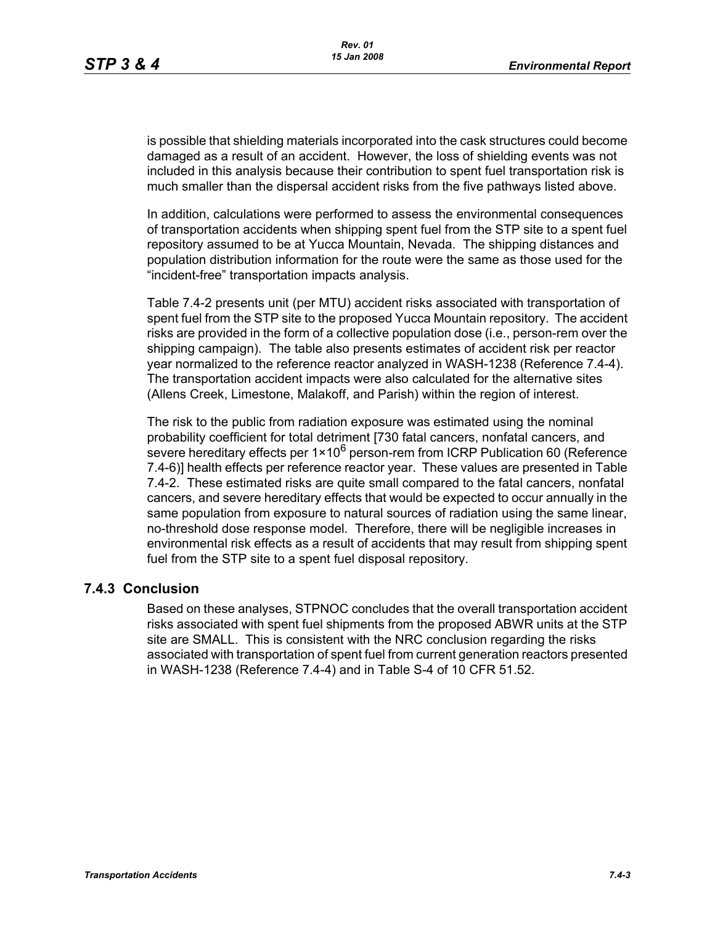is possible that shielding materials incorporated into the cask structures could become damaged as a result of an accident. However, the loss of shielding events was not included in this analysis because their contribution to spent fuel transportation risk is much smaller than the dispersal accident risks from the five pathways listed above.

In addition, calculations were performed to assess the environmental consequences of transportation accidents when shipping spent fuel from the STP site to a spent fuel repository assumed to be at Yucca Mountain, Nevada. The shipping distances and population distribution information for the route were the same as those used for the "incident-free" transportation impacts analysis.

Table 7.4-2 presents unit (per MTU) accident risks associated with transportation of spent fuel from the STP site to the proposed Yucca Mountain repository. The accident risks are provided in the form of a collective population dose (i.e., person-rem over the shipping campaign). The table also presents estimates of accident risk per reactor year normalized to the reference reactor analyzed in WASH-1238 (Reference 7.4-4). The transportation accident impacts were also calculated for the alternative sites (Allens Creek, Limestone, Malakoff, and Parish) within the region of interest.

The risk to the public from radiation exposure was estimated using the nominal probability coefficient for total detriment [730 fatal cancers, nonfatal cancers, and severe hereditary effects per  $1 \times 10^6$  person-rem from ICRP Publication 60 (Reference 7.4-6)] health effects per reference reactor year. These values are presented in Table 7.4-2. These estimated risks are quite small compared to the fatal cancers, nonfatal cancers, and severe hereditary effects that would be expected to occur annually in the same population from exposure to natural sources of radiation using the same linear, no-threshold dose response model. Therefore, there will be negligible increases in environmental risk effects as a result of accidents that may result from shipping spent fuel from the STP site to a spent fuel disposal repository.

#### **7.4.3 Conclusion**

Based on these analyses, STPNOC concludes that the overall transportation accident risks associated with spent fuel shipments from the proposed ABWR units at the STP site are SMALL. This is consistent with the NRC conclusion regarding the risks associated with transportation of spent fuel from current generation reactors presented in WASH-1238 (Reference 7.4-4) and in Table S-4 of 10 CFR 51.52.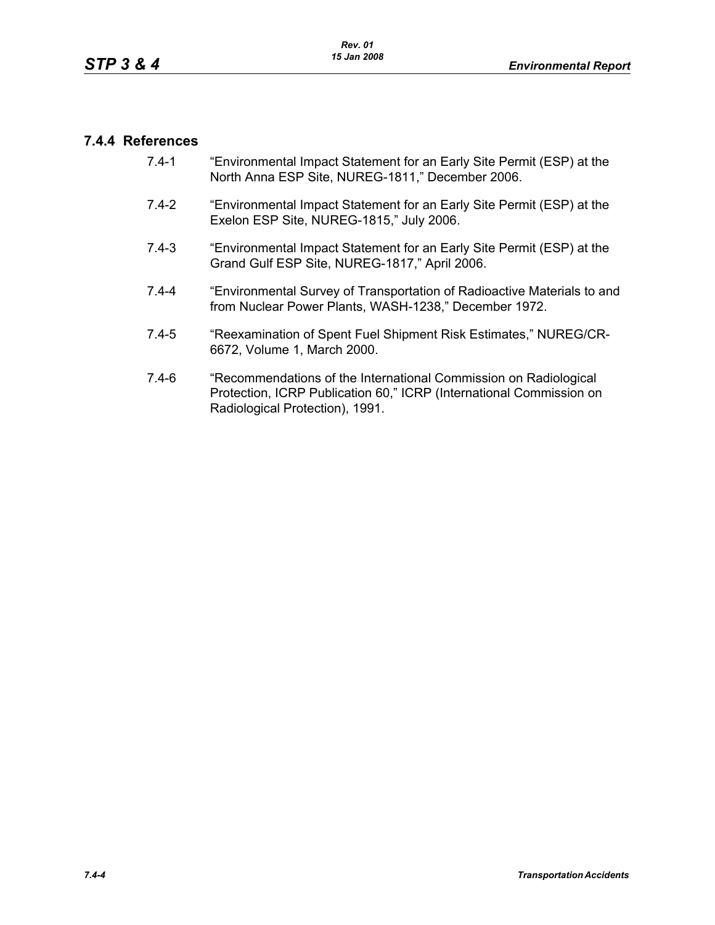### **7.4.4 References**

- 7.4-1 "Environmental Impact Statement for an Early Site Permit (ESP) at the North Anna ESP Site, NUREG-1811," December 2006.
- 7.4-2 "Environmental Impact Statement for an Early Site Permit (ESP) at the Exelon ESP Site, NUREG-1815," July 2006.
- 7.4-3 "Environmental Impact Statement for an Early Site Permit (ESP) at the Grand Gulf ESP Site, NUREG-1817," April 2006.
- 7.4-4 "Environmental Survey of Transportation of Radioactive Materials to and from Nuclear Power Plants, WASH-1238," December 1972.
- 7.4-5 "Reexamination of Spent Fuel Shipment Risk Estimates," NUREG/CR-6672, Volume 1, March 2000.
- 7.4-6 "Recommendations of the International Commission on Radiological Protection, ICRP Publication 60," ICRP (International Commission on Radiological Protection), 1991.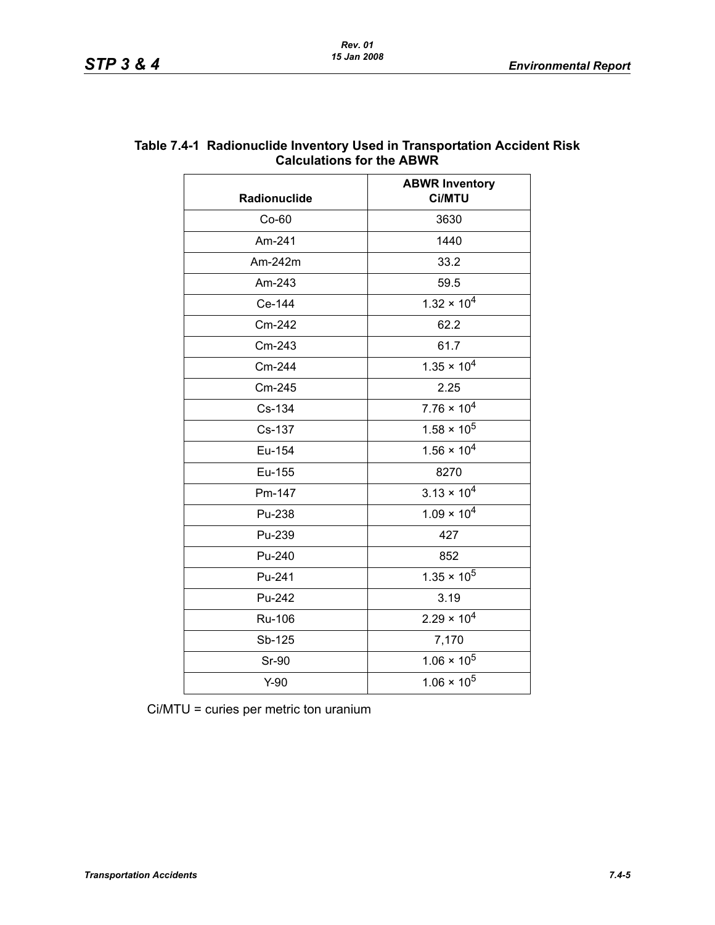| Radionuclide  | <b>ABWR Inventory</b><br><b>Ci/MTU</b> |  |
|---------------|----------------------------------------|--|
| $Co-60$       | 3630                                   |  |
| Am-241        | 1440                                   |  |
| Am-242m       | 33.2                                   |  |
| Am-243        | 59.5                                   |  |
| Ce-144        | $1.32 \times 10^{4}$                   |  |
| Cm-242        | 62.2                                   |  |
| Cm-243        | 61.7                                   |  |
| Cm-244        | $1.35 \times 10^{4}$                   |  |
| Cm-245        | 2.25                                   |  |
| Cs-134        | $7.76 \times 10^{4}$                   |  |
| Cs-137        | $1.58 \times 10^5$                     |  |
| Eu-154        | $1.56 \times 10^{4}$                   |  |
| Eu-155        | 8270                                   |  |
| Pm-147        | $3.13 \times 10^{4}$                   |  |
| Pu-238        | $1.09 \times 10^{4}$                   |  |
| Pu-239        | 427                                    |  |
| Pu-240        | 852                                    |  |
| Pu-241        | $1.35 \times 10^5$                     |  |
| Pu-242        | 3.19                                   |  |
| <b>Ru-106</b> | $2.29 \times 10^{4}$                   |  |
| Sb-125        | 7,170                                  |  |
| <b>Sr-90</b>  | $1.06 \times 10^5$                     |  |
| $Y-90$        | $1.06 \times 10^5$                     |  |

#### **Table 7.4-1 Radionuclide Inventory Used in Transportation Accident Risk Calculations for the ABWR**

Ci/MTU = curies per metric ton uranium